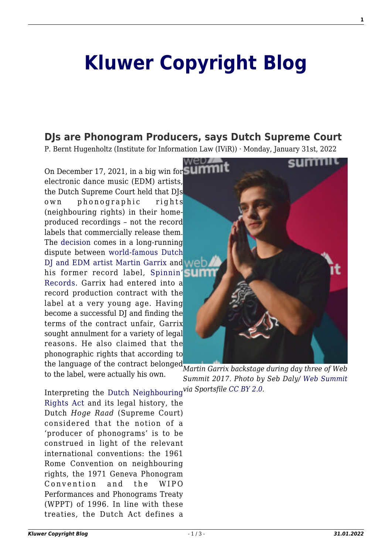## **[Kluwer Copyright Blog](http://copyrightblog.kluweriplaw.com/)**

## **[DJs are Phonogram Producers, says Dutch Supreme Court](http://copyrightblog.kluweriplaw.com/2022/01/31/djs-are-phonogram-producers-says-dutch-supreme-court/)**

P. Bernt Hugenholtz (Institute for Information Law (IViR)) · Monday, January 31st, 2022

*Martin Garrix backstage during day three of Web* the language of the contract belonged On December 17, 2021, in a big win for electronic dance music (EDM) artists, the Dutch Supreme Court held that DJs own phonographic rights (neighbouring rights) in their homeproduced recordings – not the record labels that commercially release them. The [decision](https://uitspraken.rechtspraak.nl/inziendocument?id=ECLI:NL:HR:2021:1923) comes in a long-running dispute between [world-famous Dutch](https://en.wikipedia.org/wiki/Martin_Garrix) [DJ and EDM artist Martin Garrix](https://en.wikipedia.org/wiki/Martin_Garrix) and We his former record label, [Spinnin'](https://spinninrecords.com/) [Records.](https://spinninrecords.com/) Garrix had entered into a record production contract with the label at a very young age. Having become a successful DJ and finding the terms of the contract unfair, Garrix sought annulment for a variety of legal reasons. He also claimed that the phonographic rights that according to

to the label, were actually his own.

*via Sportsfile [CC BY 2.0.](https://commons.wikimedia.org/w/index.php?curid=64163588)* Interpreting the [Dutch Neighbouring](https://wetten.overheid.nl/BWBR0005921/2021-06-07) [Rights Act](https://wetten.overheid.nl/BWBR0005921/2021-06-07) and its legal history, the Dutch *Hoge Raad* (Supreme Court) considered that the notion of a 'producer of phonograms' is to be construed in light of the relevant international conventions: the 1961 Rome Convention on neighbouring rights, the 1971 Geneva Phonogram Convention and the WIPO Performances and Phonograms Treaty (WPPT) of 1996. In line with these treaties, the Dutch Act defines a



*Summit 2017. Photo by Seb Daly/ [Web Summit](https://www.flickr.com/photos/websummit/38288477701/)*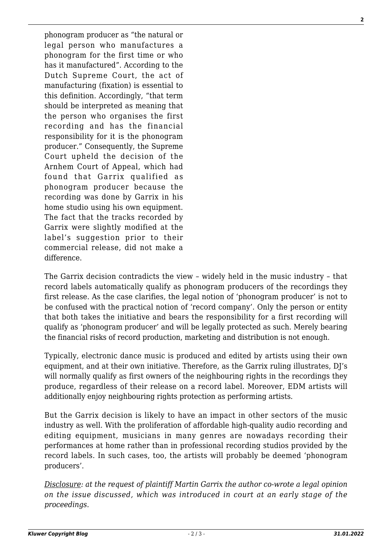phonogram producer as "the natural or legal person who manufactures a phonogram for the first time or who has it manufactured". According to the Dutch Supreme Court, the act of manufacturing (fixation) is essential to this definition. Accordingly, "that term should be interpreted as meaning that the person who organises the first recording and has the financial responsibility for it is the phonogram producer." Consequently, the Supreme Court upheld the decision of the Arnhem Court of Appeal, which had found that Garrix qualified as phonogram producer because the recording was done by Garrix in his home studio using his own equipment. The fact that the tracks recorded by Garrix were slightly modified at the label's suggestion prior to their commercial release, did not make a difference.

The Garrix decision contradicts the view – widely held in the music industry – that record labels automatically qualify as phonogram producers of the recordings they first release. As the case clarifies, the legal notion of 'phonogram producer' is not to be confused with the practical notion of 'record company'. Only the person or entity that both takes the initiative and bears the responsibility for a first recording will qualify as 'phonogram producer' and will be legally protected as such. Merely bearing the financial risks of record production, marketing and distribution is not enough.

Typically, electronic dance music is produced and edited by artists using their own equipment, and at their own initiative. Therefore, as the Garrix ruling illustrates, DJ's will normally qualify as first owners of the neighbouring rights in the recordings they produce, regardless of their release on a record label. Moreover, EDM artists will additionally enjoy neighbouring rights protection as performing artists.

But the Garrix decision is likely to have an impact in other sectors of the music industry as well. With the proliferation of affordable high-quality audio recording and editing equipment, musicians in many genres are nowadays recording their performances at home rather than in professional recording studios provided by the record labels. In such cases, too, the artists will probably be deemed 'phonogram producers'.

*Disclosure: at the request of plaintiff Martin Garrix the author co-wrote a legal opinion on the issue discussed, which was introduced in court at an early stage of the proceedings.*